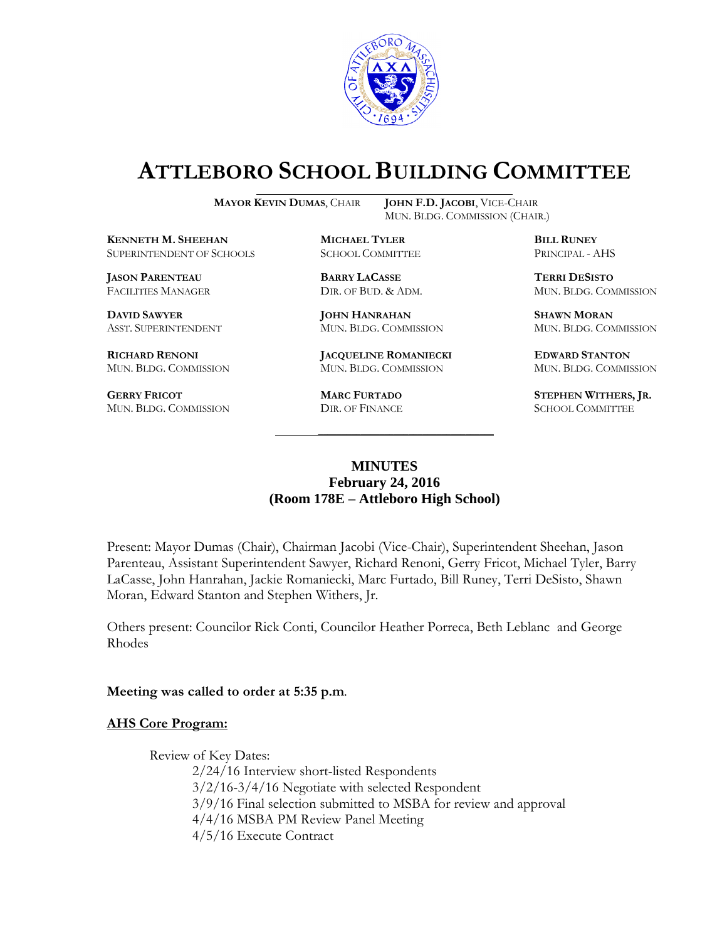

# **ATTLEBORO SCHOOL BUILDING COMMITTEE**

**MAYOR KEVIN DUMAS**, CHAIR **JOHN F.D. JACOBI**, VICE-CHAIR

**KENNETH M. SHEEHAN MICHAEL TYLER BILL RUNEY** SUPERINTENDENT OF SCHOOLS SCHOOL COMMITTEE PRINCIPAL - AHS

**JASON PARENTEAU BARRY LACASSE TERRI DESISTO**

**DAVID SAWYER JOHN HANRAHAN SHAWN MORAN**

**GERRY FRICOT MARC FURTADO STEPHEN WITHERS, JR.**<br>
MUN. BLDG. COMMISSION DIR. OF FINANCE SCHOOL COMMITTEE MUN. BLDG. COMMISSION DIR. OF FINANCE

MUN. BLDG. COMMISSION (CHAIR.)

**RICHARD RENONI JACQUELINE ROMANIECKI EDWARD STANTON** MUN. BLDG. COMMISSION MUN. BLDG. COMMISSION MUN. BLDG. COMMISSION

FACILITIES MANAGER DIR. OF BUD. & ADM. MUN. BLDG. COMMISSION

ASST. SUPERINTENDENT MUN. BLDG. COMMISSION MUN. BLDG. COMMISSION

## **MINUTES February 24, 2016 (Room 178E – Attleboro High School)**

\_\_\_\_\_\_\_\_\_\_\_\_\_\_\_\_\_\_\_\_\_\_\_\_\_\_\_\_\_\_\_\_\_\_\_\_\_

Present: Mayor Dumas (Chair), Chairman Jacobi (Vice-Chair), Superintendent Sheehan, Jason Parenteau, Assistant Superintendent Sawyer, Richard Renoni, Gerry Fricot, Michael Tyler, Barry LaCasse, John Hanrahan, Jackie Romaniecki, Marc Furtado, Bill Runey, Terri DeSisto, Shawn Moran, Edward Stanton and Stephen Withers, Jr.

Others present: Councilor Rick Conti, Councilor Heather Porreca, Beth Leblanc and George Rhodes

**Meeting was called to order at 5:35 p.m**.

#### **AHS Core Program:**

Review of Key Dates:

2/24/16 Interview short-listed Respondents 3/2/16-3/4/16 Negotiate with selected Respondent 3/9/16 Final selection submitted to MSBA for review and approval 4/4/16 MSBA PM Review Panel Meeting 4/5/16 Execute Contract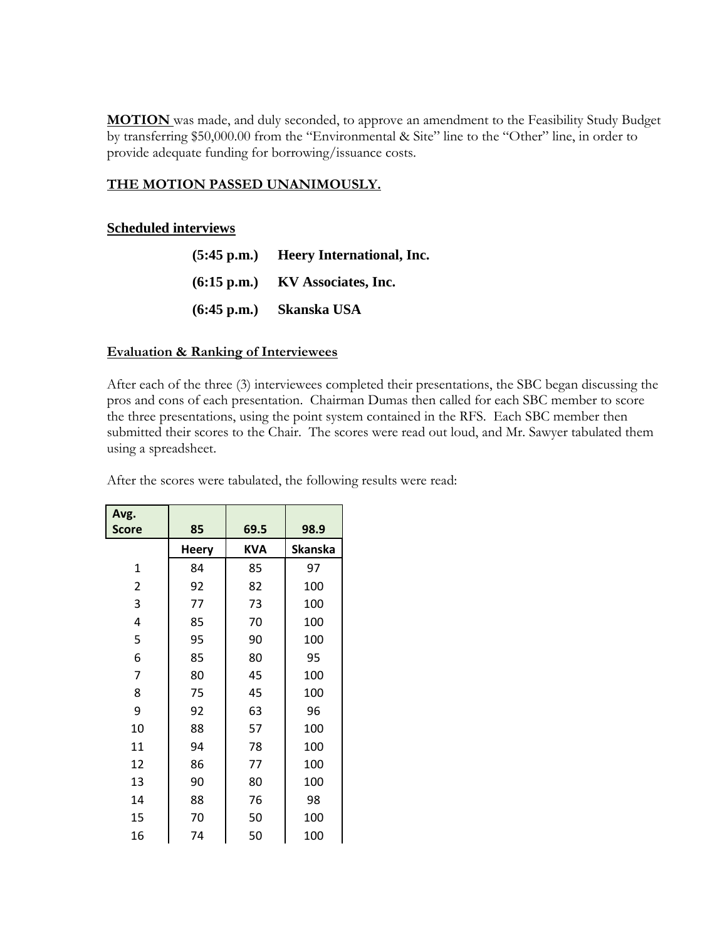**MOTION** was made, and duly seconded, to approve an amendment to the Feasibility Study Budget by transferring \$50,000.00 from the "Environmental & Site" line to the "Other" line, in order to provide adequate funding for borrowing/issuance costs.

#### **THE MOTION PASSED UNANIMOUSLY.**

#### **Scheduled interviews**

| $(5:45 \text{ p.m.})$ | Heery International, Inc. |
|-----------------------|---------------------------|
| $(6:15 \text{ p.m.})$ | KV Associates, Inc.       |
| $(6:45 \text{ p.m.})$ | Skanska USA               |

#### **Evaluation & Ranking of Interviewees**

After each of the three (3) interviewees completed their presentations, the SBC began discussing the pros and cons of each presentation. Chairman Dumas then called for each SBC member to score the three presentations, using the point system contained in the RFS. Each SBC member then submitted their scores to the Chair. The scores were read out loud, and Mr. Sawyer tabulated them using a spreadsheet.

| Avg.<br><b>Score</b> | 85           | 69.5       | 98.9    |
|----------------------|--------------|------------|---------|
|                      | <b>Heery</b> | <b>KVA</b> | Skanska |
| $\mathbf{1}$         | 84           | 85         | 97      |
| 2                    | 92           | 82         | 100     |
| 3                    | 77           | 73         | 100     |
| 4                    | 85           | 70         | 100     |
| 5                    | 95           | 90         | 100     |
| 6                    | 85           | 80         | 95      |
| 7                    | 80           | 45         | 100     |
| 8                    | 75           | 45         | 100     |
| 9                    | 92           | 63         | 96      |
| 10                   | 88           | 57         | 100     |
| 11                   | 94           | 78         | 100     |
| 12                   | 86           | 77         | 100     |
| 13                   | 90           | 80         | 100     |
| 14                   | 88           | 76         | 98      |
| 15                   | 70           | 50         | 100     |
| 16                   | 74           | 50         | 100     |

After the scores were tabulated, the following results were read: